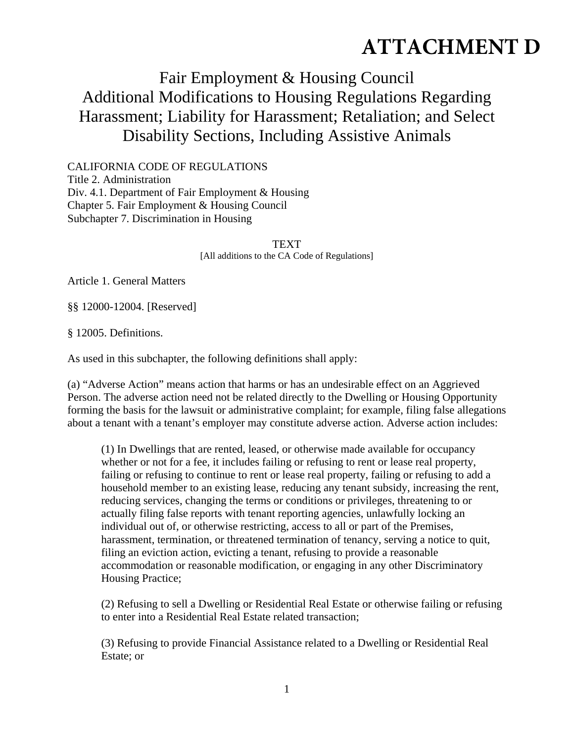## **ATTACHMENT D**

## Fair Employment & Housing Council Additional Modifications to Housing Regulations Regarding Harassment; Liability for Harassment; Retaliation; and Select Disability Sections, Including Assistive Animals

CALIFORNIA CODE OF REGULATIONS Title 2. Administration Div. 4.1. Department of Fair Employment & Housing Chapter 5. Fair Employment & Housing Council Subchapter 7. Discrimination in Housing

> TEXT [All additions to the CA Code of Regulations]

Article 1. General Matters

§§ 12000-12004. [Reserved]

§ 12005. Definitions.

As used in this subchapter, the following definitions shall apply:

(a) "Adverse Action" means action that harms or has an undesirable effect on an Aggrieved Person. The adverse action need not be related directly to the Dwelling or Housing Opportunity forming the basis for the lawsuit or administrative complaint; for example, filing false allegations about a tenant with a tenant's employer may constitute adverse action. Adverse action includes:

(1) In Dwellings that are rented, leased, or otherwise made available for occupancy whether or not for a fee, it includes failing or refusing to rent or lease real property, failing or refusing to continue to rent or lease real property, failing or refusing to add a household member to an existing lease, reducing any tenant subsidy, increasing the rent, reducing services, changing the terms or conditions or privileges, threatening to or actually filing false reports with tenant reporting agencies, unlawfully locking an individual out of, or otherwise restricting, access to all or part of the Premises, harassment, termination, or threatened termination of tenancy, serving a notice to quit, filing an eviction action, evicting a tenant, refusing to provide a reasonable accommodation or reasonable modification, or engaging in any other Discriminatory Housing Practice;

(2) Refusing to sell a Dwelling or Residential Real Estate or otherwise failing or refusing to enter into a Residential Real Estate related transaction;

(3) Refusing to provide Financial Assistance related to a Dwelling or Residential Real Estate; or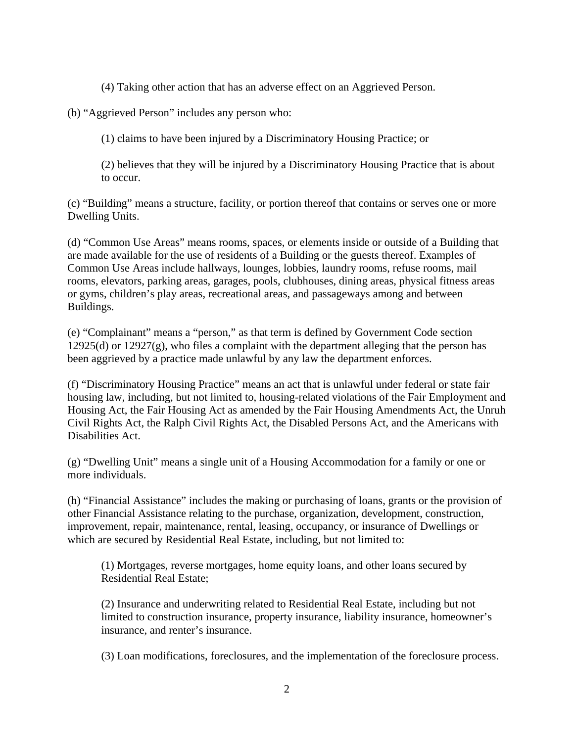(4) Taking other action that has an adverse effect on an Aggrieved Person.

(b) "Aggrieved Person" includes any person who:

(1) claims to have been injured by a Discriminatory Housing Practice; or

(2) believes that they will be injured by a Discriminatory Housing Practice that is about to occur.

(c) "Building" means a structure, facility, or portion thereof that contains or serves one or more Dwelling Units.

(d) "Common Use Areas" means rooms, spaces, or elements inside or outside of a Building that are made available for the use of residents of a Building or the guests thereof. Examples of Common Use Areas include hallways, lounges, lobbies, laundry rooms, refuse rooms, mail rooms, elevators, parking areas, garages, pools, clubhouses, dining areas, physical fitness areas or gyms, children's play areas, recreational areas, and passageways among and between Buildings.

(e) "Complainant" means a "person," as that term is defined by Government Code section 12925(d) or 12927(g), who files a complaint with the department alleging that the person has been aggrieved by a practice made unlawful by any law the department enforces.

(f) "Discriminatory Housing Practice" means an act that is unlawful under federal or state fair housing law, including, but not limited to, housing-related violations of the Fair Employment and Housing Act, the Fair Housing Act as amended by the Fair Housing Amendments Act, the Unruh Civil Rights Act, the Ralph Civil Rights Act, the Disabled Persons Act, and the Americans with Disabilities Act.

(g) "Dwelling Unit" means a single unit of a Housing Accommodation for a family or one or more individuals.

(h) "Financial Assistance" includes the making or purchasing of loans, grants or the provision of other Financial Assistance relating to the purchase, organization, development, construction, improvement, repair, maintenance, rental, leasing, occupancy, or insurance of Dwellings or which are secured by Residential Real Estate, including, but not limited to:

(1) Mortgages, reverse mortgages, home equity loans, and other loans secured by Residential Real Estate;

(2) Insurance and underwriting related to Residential Real Estate, including but not limited to construction insurance, property insurance, liability insurance, homeowner's insurance, and renter's insurance.

(3) Loan modifications, foreclosures, and the implementation of the foreclosure process.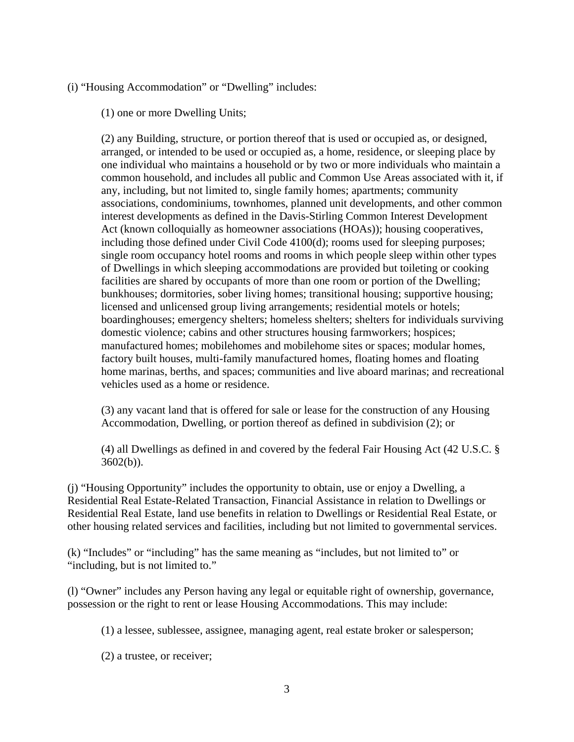(i) "Housing Accommodation" or "Dwelling" includes:

(1) one or more Dwelling Units;

(2) any Building, structure, or portion thereof that is used or occupied as, or designed, arranged, or intended to be used or occupied as, a home, residence, or sleeping place by one individual who maintains a household or by two or more individuals who maintain a common household, and includes all public and Common Use Areas associated with it, if any, including, but not limited to, single family homes; apartments; community associations, condominiums, townhomes, planned unit developments, and other common interest developments as defined in the Davis-Stirling Common Interest Development Act (known colloquially as homeowner associations (HOAs)); housing cooperatives, including those defined under Civil Code 4100(d); rooms used for sleeping purposes; single room occupancy hotel rooms and rooms in which people sleep within other types of Dwellings in which sleeping accommodations are provided but toileting or cooking facilities are shared by occupants of more than one room or portion of the Dwelling; bunkhouses; dormitories, sober living homes; transitional housing; supportive housing; licensed and unlicensed group living arrangements; residential motels or hotels; boardinghouses; emergency shelters; homeless shelters; shelters for individuals surviving domestic violence; cabins and other structures housing farmworkers; hospices; manufactured homes; mobilehomes and mobilehome sites or spaces; modular homes, factory built houses, multi-family manufactured homes, floating homes and floating home marinas, berths, and spaces; communities and live aboard marinas; and recreational vehicles used as a home or residence.

(3) any vacant land that is offered for sale or lease for the construction of any Housing Accommodation, Dwelling, or portion thereof as defined in subdivision (2); or

(4) all Dwellings as defined in and covered by the federal Fair Housing Act (42 U.S.C. § 3602(b)).

(j) "Housing Opportunity" includes the opportunity to obtain, use or enjoy a Dwelling, a Residential Real Estate-Related Transaction, Financial Assistance in relation to Dwellings or Residential Real Estate, land use benefits in relation to Dwellings or Residential Real Estate, or other housing related services and facilities, including but not limited to governmental services.

(k) "Includes" or "including" has the same meaning as "includes, but not limited to" or "including, but is not limited to."

(l) "Owner" includes any Person having any legal or equitable right of ownership, governance, possession or the right to rent or lease Housing Accommodations. This may include:

(1) a lessee, sublessee, assignee, managing agent, real estate broker or salesperson;

(2) a trustee, or receiver;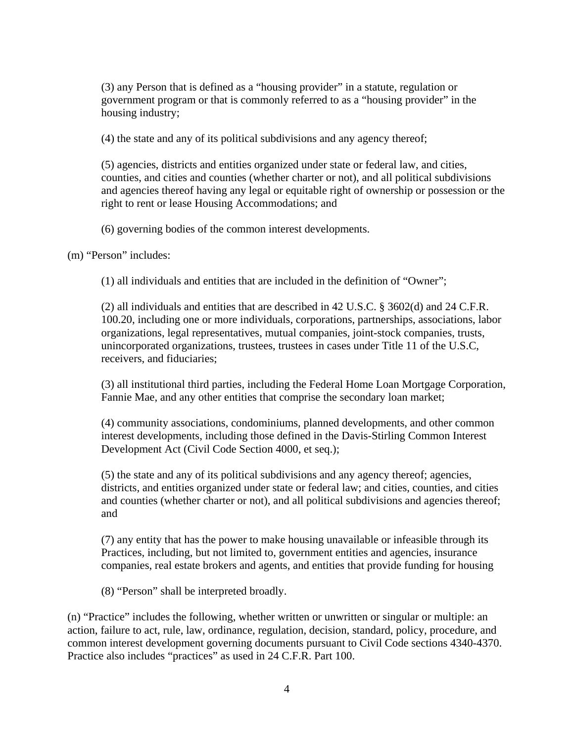(3) any Person that is defined as a "housing provider" in a statute, regulation or government program or that is commonly referred to as a "housing provider" in the housing industry;

(4) the state and any of its political subdivisions and any agency thereof;

(5) agencies, districts and entities organized under state or federal law, and cities, counties, and cities and counties (whether charter or not), and all political subdivisions and agencies thereof having any legal or equitable right of ownership or possession or the right to rent or lease Housing Accommodations; and

(6) governing bodies of the common interest developments.

(m) "Person" includes:

(1) all individuals and entities that are included in the definition of "Owner";

(2) all individuals and entities that are described in 42 U.S.C. § 3602(d) and 24 C.F.R. 100.20, including one or more individuals, corporations, partnerships, associations, labor organizations, legal representatives, mutual companies, joint-stock companies, trusts, unincorporated organizations, trustees, trustees in cases under Title 11 of the U.S.C, receivers, and fiduciaries;

(3) all institutional third parties, including the Federal Home Loan Mortgage Corporation, Fannie Mae, and any other entities that comprise the secondary loan market;

(4) community associations, condominiums, planned developments, and other common interest developments, including those defined in the Davis-Stirling Common Interest Development Act (Civil Code Section 4000, et seq.);

(5) the state and any of its political subdivisions and any agency thereof; agencies, districts, and entities organized under state or federal law; and cities, counties, and cities and counties (whether charter or not), and all political subdivisions and agencies thereof; and

(7) any entity that has the power to make housing unavailable or infeasible through its Practices, including, but not limited to, government entities and agencies, insurance companies, real estate brokers and agents, and entities that provide funding for housing

(8) "Person" shall be interpreted broadly.

(n) "Practice" includes the following, whether written or unwritten or singular or multiple: an action, failure to act, rule, law, ordinance, regulation, decision, standard, policy, procedure, and common interest development governing documents pursuant to Civil Code sections 4340-4370. Practice also includes "practices" as used in 24 C.F.R. Part 100.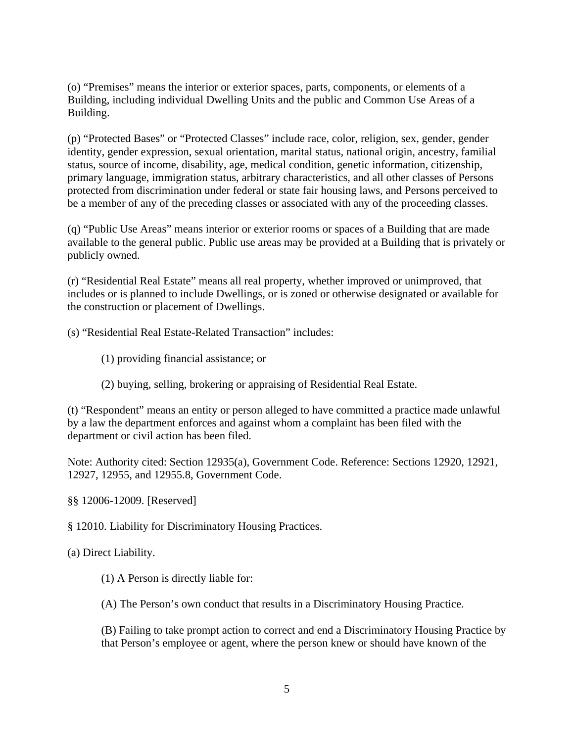(o) "Premises" means the interior or exterior spaces, parts, components, or elements of a Building, including individual Dwelling Units and the public and Common Use Areas of a Building.

(p) "Protected Bases" or "Protected Classes" include race, color, religion, sex, gender, gender identity, gender expression, sexual orientation, marital status, national origin, ancestry, familial status, source of income, disability, age, medical condition, genetic information, citizenship, primary language, immigration status, arbitrary characteristics, and all other classes of Persons protected from discrimination under federal or state fair housing laws, and Persons perceived to be a member of any of the preceding classes or associated with any of the proceeding classes.

(q) "Public Use Areas" means interior or exterior rooms or spaces of a Building that are made available to the general public. Public use areas may be provided at a Building that is privately or publicly owned.

(r) "Residential Real Estate" means all real property, whether improved or unimproved, that includes or is planned to include Dwellings, or is zoned or otherwise designated or available for the construction or placement of Dwellings.

(s) "Residential Real Estate-Related Transaction" includes:

- (1) providing financial assistance; or
- (2) buying, selling, brokering or appraising of Residential Real Estate.

(t) "Respondent" means an entity or person alleged to have committed a practice made unlawful by a law the department enforces and against whom a complaint has been filed with the department or civil action has been filed.

Note: Authority cited: Section 12935(a), Government Code. Reference: Sections 12920, 12921, 12927, 12955, and 12955.8, Government Code.

§§ 12006-12009. [Reserved]

§ 12010. Liability for Discriminatory Housing Practices.

(a) Direct Liability.

(1) A Person is directly liable for:

(A) The Person's own conduct that results in a Discriminatory Housing Practice.

(B) Failing to take prompt action to correct and end a Discriminatory Housing Practice by that Person's employee or agent, where the person knew or should have known of the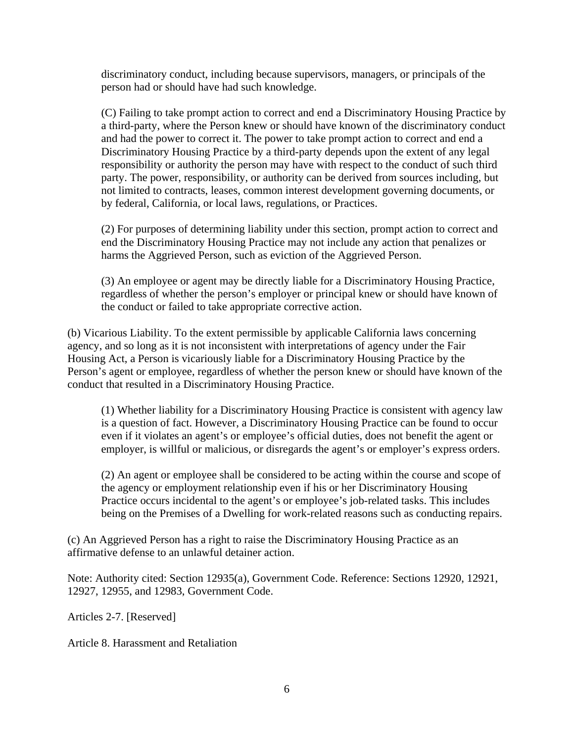discriminatory conduct, including because supervisors, managers, or principals of the person had or should have had such knowledge.

(C) Failing to take prompt action to correct and end a Discriminatory Housing Practice by a third-party, where the Person knew or should have known of the discriminatory conduct and had the power to correct it. The power to take prompt action to correct and end a Discriminatory Housing Practice by a third-party depends upon the extent of any legal responsibility or authority the person may have with respect to the conduct of such third party. The power, responsibility, or authority can be derived from sources including, but not limited to contracts, leases, common interest development governing documents, or by federal, California, or local laws, regulations, or Practices.

(2) For purposes of determining liability under this section, prompt action to correct and end the Discriminatory Housing Practice may not include any action that penalizes or harms the Aggrieved Person, such as eviction of the Aggrieved Person.

(3) An employee or agent may be directly liable for a Discriminatory Housing Practice, regardless of whether the person's employer or principal knew or should have known of the conduct or failed to take appropriate corrective action.

(b) Vicarious Liability. To the extent permissible by applicable California laws concerning agency, and so long as it is not inconsistent with interpretations of agency under the Fair Housing Act, a Person is vicariously liable for a Discriminatory Housing Practice by the Person's agent or employee, regardless of whether the person knew or should have known of the conduct that resulted in a Discriminatory Housing Practice.

(1) Whether liability for a Discriminatory Housing Practice is consistent with agency law is a question of fact. However, a Discriminatory Housing Practice can be found to occur even if it violates an agent's or employee's official duties, does not benefit the agent or employer, is willful or malicious, or disregards the agent's or employer's express orders.

(2) An agent or employee shall be considered to be acting within the course and scope of the agency or employment relationship even if his or her Discriminatory Housing Practice occurs incidental to the agent's or employee's job-related tasks. This includes being on the Premises of a Dwelling for work-related reasons such as conducting repairs.

(c) An Aggrieved Person has a right to raise the Discriminatory Housing Practice as an affirmative defense to an unlawful detainer action.

Note: Authority cited: Section 12935(a), Government Code. Reference: Sections 12920, 12921, 12927, 12955, and 12983, Government Code.

Articles 2-7. [Reserved]

Article 8. Harassment and Retaliation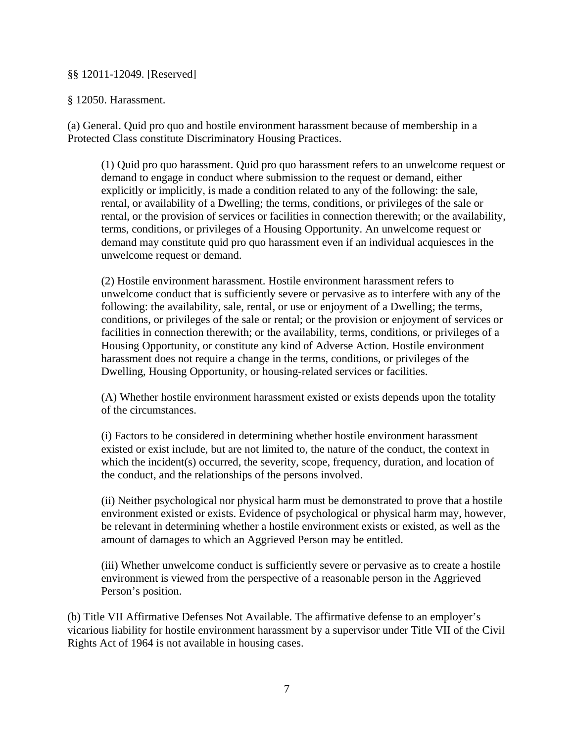## §§ 12011-12049. [Reserved]

## § 12050. Harassment.

(a) General. Quid pro quo and hostile environment harassment because of membership in a Protected Class constitute Discriminatory Housing Practices.

(1) Quid pro quo harassment. Quid pro quo harassment refers to an unwelcome request or demand to engage in conduct where submission to the request or demand, either explicitly or implicitly, is made a condition related to any of the following: the sale, rental, or availability of a Dwelling; the terms, conditions, or privileges of the sale or rental, or the provision of services or facilities in connection therewith; or the availability, terms, conditions, or privileges of a Housing Opportunity. An unwelcome request or demand may constitute quid pro quo harassment even if an individual acquiesces in the unwelcome request or demand.

(2) Hostile environment harassment. Hostile environment harassment refers to unwelcome conduct that is sufficiently severe or pervasive as to interfere with any of the following: the availability, sale, rental, or use or enjoyment of a Dwelling; the terms, conditions, or privileges of the sale or rental; or the provision or enjoyment of services or facilities in connection therewith; or the availability, terms, conditions, or privileges of a Housing Opportunity, or constitute any kind of Adverse Action. Hostile environment harassment does not require a change in the terms, conditions, or privileges of the Dwelling, Housing Opportunity, or housing-related services or facilities.

(A) Whether hostile environment harassment existed or exists depends upon the totality of the circumstances.

(i) Factors to be considered in determining whether hostile environment harassment existed or exist include, but are not limited to, the nature of the conduct, the context in which the incident(s) occurred, the severity, scope, frequency, duration, and location of the conduct, and the relationships of the persons involved.

(ii) Neither psychological nor physical harm must be demonstrated to prove that a hostile environment existed or exists. Evidence of psychological or physical harm may, however, be relevant in determining whether a hostile environment exists or existed, as well as the amount of damages to which an Aggrieved Person may be entitled.

(iii) Whether unwelcome conduct is sufficiently severe or pervasive as to create a hostile environment is viewed from the perspective of a reasonable person in the Aggrieved Person's position.

(b) Title VII Affirmative Defenses Not Available. The affirmative defense to an employer's vicarious liability for hostile environment harassment by a supervisor under Title VII of the Civil Rights Act of 1964 is not available in housing cases.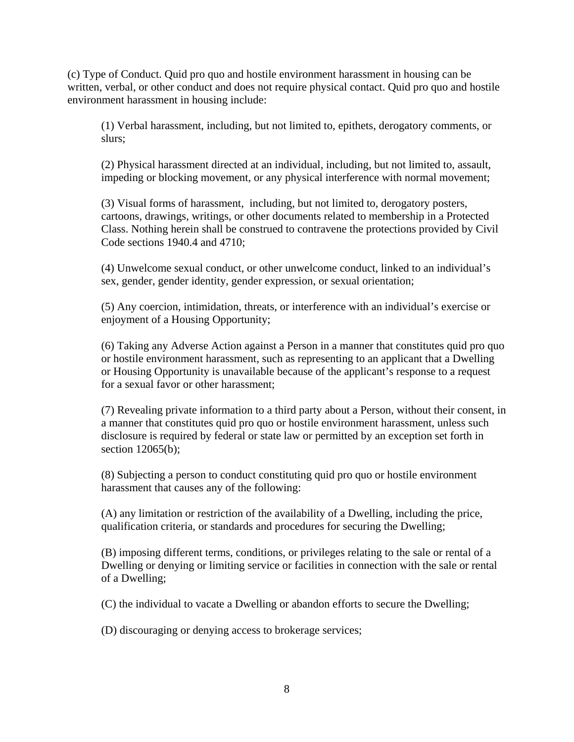(c) Type of Conduct. Quid pro quo and hostile environment harassment in housing can be written, verbal, or other conduct and does not require physical contact. Quid pro quo and hostile environment harassment in housing include:

(1) Verbal harassment, including, but not limited to, epithets, derogatory comments, or slurs;

(2) Physical harassment directed at an individual, including, but not limited to, assault, impeding or blocking movement, or any physical interference with normal movement;

(3) Visual forms of harassment, including, but not limited to, derogatory posters, cartoons, drawings, writings, or other documents related to membership in a Protected Class. Nothing herein shall be construed to contravene the protections provided by Civil Code sections 1940.4 and 4710;

(4) Unwelcome sexual conduct, or other unwelcome conduct, linked to an individual's sex, gender, gender identity, gender expression, or sexual orientation;

(5) Any coercion, intimidation, threats, or interference with an individual's exercise or enjoyment of a Housing Opportunity;

(6) Taking any Adverse Action against a Person in a manner that constitutes quid pro quo or hostile environment harassment, such as representing to an applicant that a Dwelling or Housing Opportunity is unavailable because of the applicant's response to a request for a sexual favor or other harassment;

(7) Revealing private information to a third party about a Person, without their consent, in a manner that constitutes quid pro quo or hostile environment harassment, unless such disclosure is required by federal or state law or permitted by an exception set forth in section 12065(b);

(8) Subjecting a person to conduct constituting quid pro quo or hostile environment harassment that causes any of the following:

(A) any limitation or restriction of the availability of a Dwelling, including the price, qualification criteria, or standards and procedures for securing the Dwelling;

(B) imposing different terms, conditions, or privileges relating to the sale or rental of a Dwelling or denying or limiting service or facilities in connection with the sale or rental of a Dwelling;

(C) the individual to vacate a Dwelling or abandon efforts to secure the Dwelling;

(D) discouraging or denying access to brokerage services;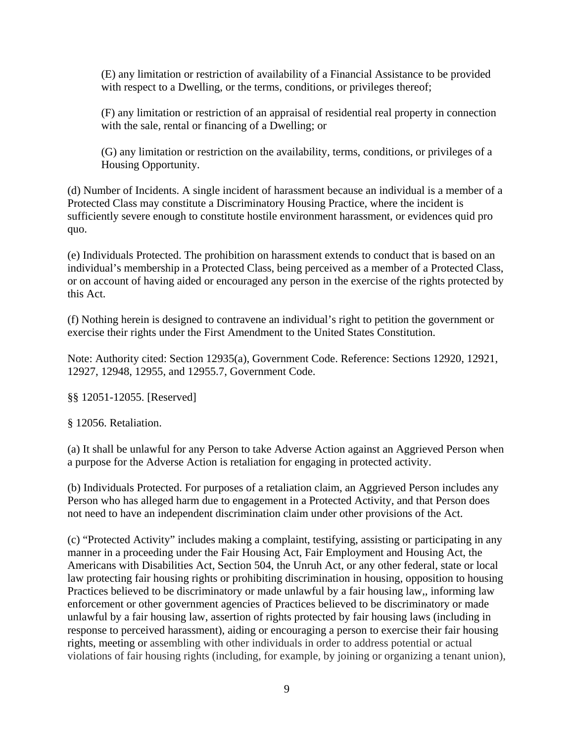(E) any limitation or restriction of availability of a Financial Assistance to be provided with respect to a Dwelling, or the terms, conditions, or privileges thereof;

(F) any limitation or restriction of an appraisal of residential real property in connection with the sale, rental or financing of a Dwelling; or

(G) any limitation or restriction on the availability, terms, conditions, or privileges of a Housing Opportunity.

(d) Number of Incidents. A single incident of harassment because an individual is a member of a Protected Class may constitute a Discriminatory Housing Practice, where the incident is sufficiently severe enough to constitute hostile environment harassment, or evidences quid pro quo.

(e) Individuals Protected. The prohibition on harassment extends to conduct that is based on an individual's membership in a Protected Class, being perceived as a member of a Protected Class, or on account of having aided or encouraged any person in the exercise of the rights protected by this Act.

(f) Nothing herein is designed to contravene an individual's right to petition the government or exercise their rights under the First Amendment to the United States Constitution.

Note: Authority cited: Section 12935(a), Government Code. Reference: Sections 12920, 12921, 12927, 12948, 12955, and 12955.7, Government Code.

§§ 12051-12055. [Reserved]

§ 12056. Retaliation.

(a) It shall be unlawful for any Person to take Adverse Action against an Aggrieved Person when a purpose for the Adverse Action is retaliation for engaging in protected activity.

(b) Individuals Protected. For purposes of a retaliation claim, an Aggrieved Person includes any Person who has alleged harm due to engagement in a Protected Activity, and that Person does not need to have an independent discrimination claim under other provisions of the Act.

(c) "Protected Activity" includes making a complaint, testifying, assisting or participating in any manner in a proceeding under the Fair Housing Act, Fair Employment and Housing Act, the Americans with Disabilities Act, Section 504, the Unruh Act, or any other federal, state or local law protecting fair housing rights or prohibiting discrimination in housing, opposition to housing Practices believed to be discriminatory or made unlawful by a fair housing law,, informing law enforcement or other government agencies of Practices believed to be discriminatory or made unlawful by a fair housing law, assertion of rights protected by fair housing laws (including in response to perceived harassment), aiding or encouraging a person to exercise their fair housing rights, meeting or assembling with other individuals in order to address potential or actual violations of fair housing rights (including, for example, by joining or organizing a tenant union),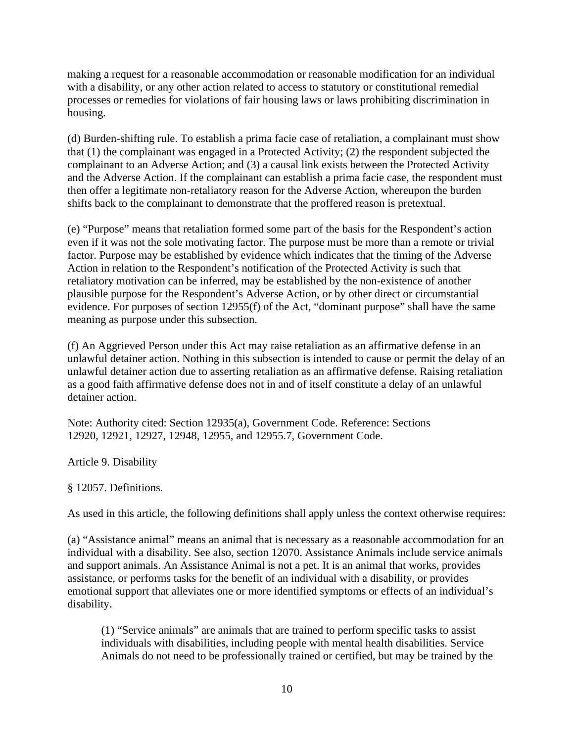making a request for a reasonable accommodation or reasonable modification for an individual with a disability, or any other action related to access to statutory or constitutional remedial processes or remedies for violations of fair housing laws or laws prohibiting discrimination in housing.

(d) Burden-shifting rule. To establish a prima facie case of retaliation, a complainant must show that (1) the complainant was engaged in a Protected Activity; (2) the respondent subjected the complainant to an Adverse Action; and (3) a causal link exists between the Protected Activity and the Adverse Action. If the complainant can establish a prima facie case, the respondent must then offer a legitimate non-retaliatory reason for the Adverse Action, whereupon the burden shifts back to the complainant to demonstrate that the proffered reason is pretextual.

(e) "Purpose" means that retaliation formed some part of the basis for the Respondent's action even if it was not the sole motivating factor. The purpose must be more than a remote or trivial factor. Purpose may be established by evidence which indicates that the timing of the Adverse Action in relation to the Respondent's notification of the Protected Activity is such that retaliatory motivation can be inferred, may be established by the non-existence of another plausible purpose for the Respondent's Adverse Action, or by other direct or circumstantial evidence. For purposes of section 12955(f) of the Act, "dominant purpose" shall have the same meaning as purpose under this subsection.

(f) An Aggrieved Person under this Act may raise retaliation as an affirmative defense in an unlawful detainer action. Nothing in this subsection is intended to cause or permit the delay of an unlawful detainer action due to asserting retaliation as an affirmative defense. Raising retaliation as a good faith affirmative defense does not in and of itself constitute a delay of an unlawful detainer action.

Note: Authority cited: Section 12935(a), Government Code. Reference: Sections 12920, 12921, 12927, 12948, 12955, and 12955.7, Government Code.

Article 9. Disability

§ 12057. Definitions.

As used in this article, the following definitions shall apply unless the context otherwise requires:

(a) "Assistance animal" means an animal that is necessary as a reasonable accommodation for an individual with a disability. See also, section 12070. Assistance Animals include service animals and support animals. An Assistance Animal is not a pet. It is an animal that works, provides assistance, or performs tasks for the benefit of an individual with a disability, or provides emotional support that alleviates one or more identified symptoms or effects of an individual's disability.

(1) "Service animals" are animals that are trained to perform specific tasks to assist individuals with disabilities, including people with mental health disabilities. Service Animals do not need to be professionally trained or certified, but may be trained by the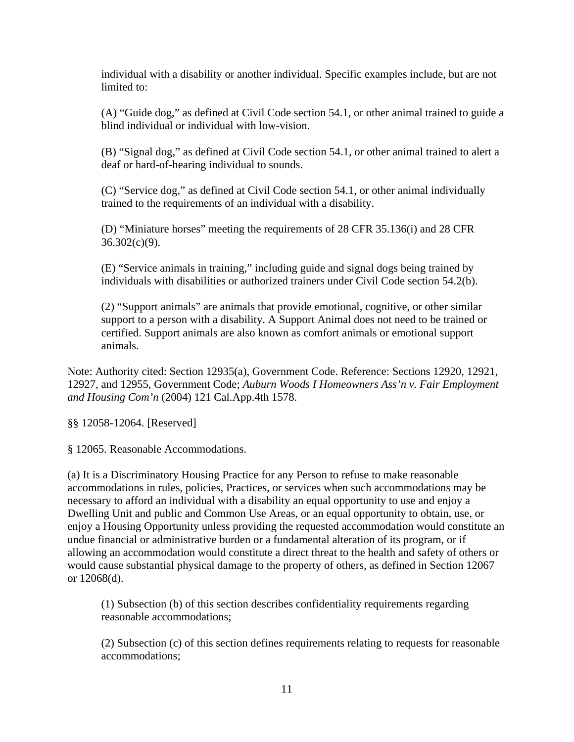individual with a disability or another individual. Specific examples include, but are not limited to:

(A) "Guide dog," as defined at Civil Code section 54.1, or other animal trained to guide a blind individual or individual with low-vision.

(B) "Signal dog," as defined at Civil Code section 54.1, or other animal trained to alert a deaf or hard-of-hearing individual to sounds.

(C) "Service dog," as defined at Civil Code section 54.1, or other animal individually trained to the requirements of an individual with a disability.

(D) "Miniature horses" meeting the requirements of 28 CFR 35.136(i) and 28 CFR  $36.302(c)(9)$ .

(E) "Service animals in training," including guide and signal dogs being trained by individuals with disabilities or authorized trainers under Civil Code section 54.2(b).

(2) "Support animals" are animals that provide emotional, cognitive, or other similar support to a person with a disability. A Support Animal does not need to be trained or certified. Support animals are also known as comfort animals or emotional support animals.

Note: Authority cited: Section 12935(a), Government Code. Reference: Sections 12920, 12921, 12927, and 12955, Government Code; *Auburn Woods I Homeowners Ass'n v. Fair Employment and Housing Com'n* (2004) 121 Cal.App.4th 1578.

§§ 12058-12064. [Reserved]

§ 12065. Reasonable Accommodations.

(a) It is a Discriminatory Housing Practice for any Person to refuse to make reasonable accommodations in rules, policies, Practices, or services when such accommodations may be necessary to afford an individual with a disability an equal opportunity to use and enjoy a Dwelling Unit and public and Common Use Areas, or an equal opportunity to obtain, use, or enjoy a Housing Opportunity unless providing the requested accommodation would constitute an undue financial or administrative burden or a fundamental alteration of its program, or if allowing an accommodation would constitute a direct threat to the health and safety of others or would cause substantial physical damage to the property of others, as defined in Section 12067 or 12068(d).

(1) Subsection (b) of this section describes confidentiality requirements regarding reasonable accommodations;

(2) Subsection (c) of this section defines requirements relating to requests for reasonable accommodations;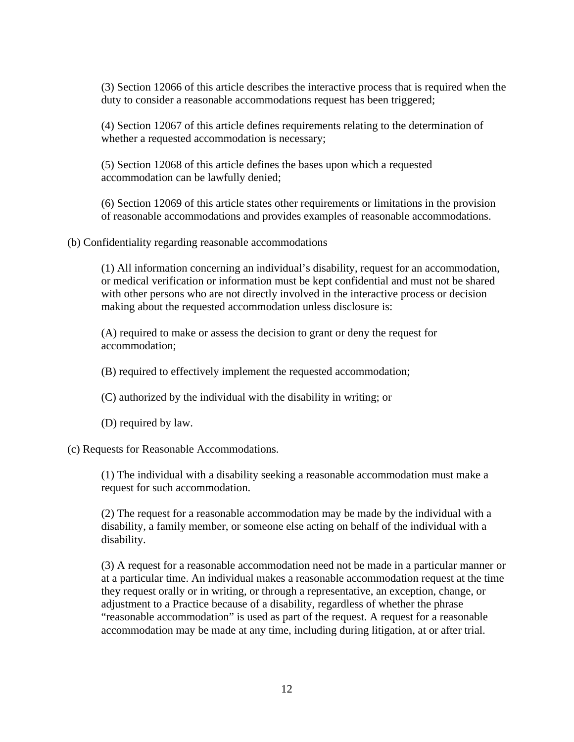(3) Section 12066 of this article describes the interactive process that is required when the duty to consider a reasonable accommodations request has been triggered;

(4) Section 12067 of this article defines requirements relating to the determination of whether a requested accommodation is necessary;

(5) Section 12068 of this article defines the bases upon which a requested accommodation can be lawfully denied;

(6) Section 12069 of this article states other requirements or limitations in the provision of reasonable accommodations and provides examples of reasonable accommodations.

(b) Confidentiality regarding reasonable accommodations

(1) All information concerning an individual's disability, request for an accommodation, or medical verification or information must be kept confidential and must not be shared with other persons who are not directly involved in the interactive process or decision making about the requested accommodation unless disclosure is:

(A) required to make or assess the decision to grant or deny the request for accommodation;

(B) required to effectively implement the requested accommodation;

(C) authorized by the individual with the disability in writing; or

(D) required by law.

(c) Requests for Reasonable Accommodations.

(1) The individual with a disability seeking a reasonable accommodation must make a request for such accommodation.

(2) The request for a reasonable accommodation may be made by the individual with a disability, a family member, or someone else acting on behalf of the individual with a disability.

(3) A request for a reasonable accommodation need not be made in a particular manner or at a particular time. An individual makes a reasonable accommodation request at the time they request orally or in writing, or through a representative, an exception, change, or adjustment to a Practice because of a disability, regardless of whether the phrase "reasonable accommodation" is used as part of the request. A request for a reasonable accommodation may be made at any time, including during litigation, at or after trial.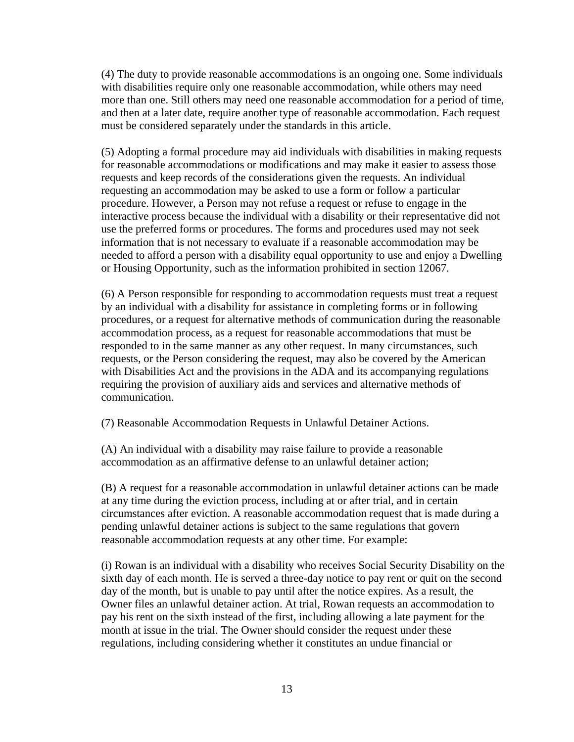(4) The duty to provide reasonable accommodations is an ongoing one. Some individuals with disabilities require only one reasonable accommodation, while others may need more than one. Still others may need one reasonable accommodation for a period of time, and then at a later date, require another type of reasonable accommodation. Each request must be considered separately under the standards in this article.

(5) Adopting a formal procedure may aid individuals with disabilities in making requests for reasonable accommodations or modifications and may make it easier to assess those requests and keep records of the considerations given the requests. An individual requesting an accommodation may be asked to use a form or follow a particular procedure. However, a Person may not refuse a request or refuse to engage in the interactive process because the individual with a disability or their representative did not use the preferred forms or procedures. The forms and procedures used may not seek information that is not necessary to evaluate if a reasonable accommodation may be needed to afford a person with a disability equal opportunity to use and enjoy a Dwelling or Housing Opportunity, such as the information prohibited in section 12067.

(6) A Person responsible for responding to accommodation requests must treat a request by an individual with a disability for assistance in completing forms or in following procedures, or a request for alternative methods of communication during the reasonable accommodation process, as a request for reasonable accommodations that must be responded to in the same manner as any other request. In many circumstances, such requests, or the Person considering the request, may also be covered by the American with Disabilities Act and the provisions in the ADA and its accompanying regulations requiring the provision of auxiliary aids and services and alternative methods of communication.

(7) Reasonable Accommodation Requests in Unlawful Detainer Actions.

(A) An individual with a disability may raise failure to provide a reasonable accommodation as an affirmative defense to an unlawful detainer action;

(B) A request for a reasonable accommodation in unlawful detainer actions can be made at any time during the eviction process, including at or after trial, and in certain circumstances after eviction. A reasonable accommodation request that is made during a pending unlawful detainer actions is subject to the same regulations that govern reasonable accommodation requests at any other time. For example:

(i) Rowan is an individual with a disability who receives Social Security Disability on the sixth day of each month. He is served a three-day notice to pay rent or quit on the second day of the month, but is unable to pay until after the notice expires. As a result, the Owner files an unlawful detainer action. At trial, Rowan requests an accommodation to pay his rent on the sixth instead of the first, including allowing a late payment for the month at issue in the trial. The Owner should consider the request under these regulations, including considering whether it constitutes an undue financial or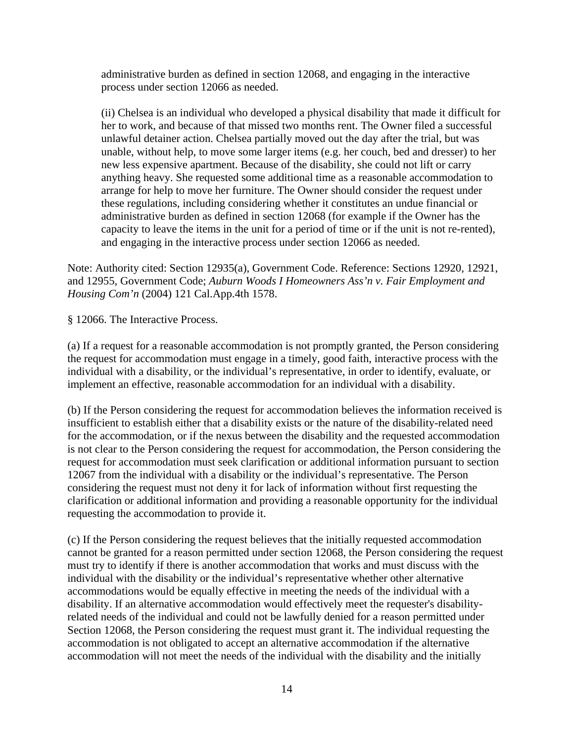administrative burden as defined in section 12068, and engaging in the interactive process under section 12066 as needed.

(ii) Chelsea is an individual who developed a physical disability that made it difficult for her to work, and because of that missed two months rent. The Owner filed a successful unlawful detainer action. Chelsea partially moved out the day after the trial, but was unable, without help, to move some larger items (e.g. her couch, bed and dresser) to her new less expensive apartment. Because of the disability, she could not lift or carry anything heavy. She requested some additional time as a reasonable accommodation to arrange for help to move her furniture. The Owner should consider the request under these regulations, including considering whether it constitutes an undue financial or administrative burden as defined in section 12068 (for example if the Owner has the capacity to leave the items in the unit for a period of time or if the unit is not re-rented), and engaging in the interactive process under section 12066 as needed.

Note: Authority cited: Section 12935(a), Government Code. Reference: Sections 12920, 12921, and 12955, Government Code; *Auburn Woods I Homeowners Ass'n v. Fair Employment and Housing Com'n* (2004) 121 Cal.App.4th 1578.

§ 12066. The Interactive Process.

(a) If a request for a reasonable accommodation is not promptly granted, the Person considering the request for accommodation must engage in a timely, good faith, interactive process with the individual with a disability, or the individual's representative, in order to identify, evaluate, or implement an effective, reasonable accommodation for an individual with a disability.

(b) If the Person considering the request for accommodation believes the information received is insufficient to establish either that a disability exists or the nature of the disability-related need for the accommodation, or if the nexus between the disability and the requested accommodation is not clear to the Person considering the request for accommodation, the Person considering the request for accommodation must seek clarification or additional information pursuant to section 12067 from the individual with a disability or the individual's representative. The Person considering the request must not deny it for lack of information without first requesting the clarification or additional information and providing a reasonable opportunity for the individual requesting the accommodation to provide it.

(c) If the Person considering the request believes that the initially requested accommodation cannot be granted for a reason permitted under section 12068, the Person considering the request must try to identify if there is another accommodation that works and must discuss with the individual with the disability or the individual's representative whether other alternative accommodations would be equally effective in meeting the needs of the individual with a disability. If an alternative accommodation would effectively meet the requester's disabilityrelated needs of the individual and could not be lawfully denied for a reason permitted under Section 12068, the Person considering the request must grant it. The individual requesting the accommodation is not obligated to accept an alternative accommodation if the alternative accommodation will not meet the needs of the individual with the disability and the initially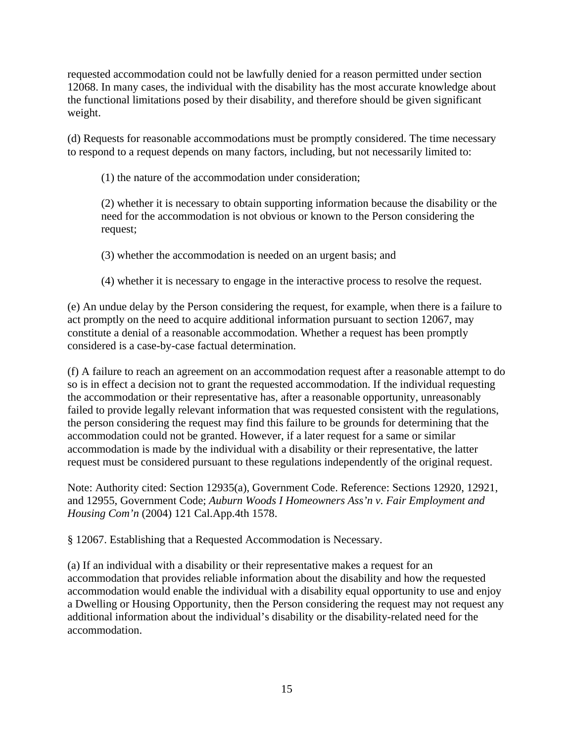requested accommodation could not be lawfully denied for a reason permitted under section 12068. In many cases, the individual with the disability has the most accurate knowledge about the functional limitations posed by their disability, and therefore should be given significant weight.

(d) Requests for reasonable accommodations must be promptly considered. The time necessary to respond to a request depends on many factors, including, but not necessarily limited to:

(1) the nature of the accommodation under consideration;

(2) whether it is necessary to obtain supporting information because the disability or the need for the accommodation is not obvious or known to the Person considering the request;

(3) whether the accommodation is needed on an urgent basis; and

(4) whether it is necessary to engage in the interactive process to resolve the request.

(e) An undue delay by the Person considering the request, for example, when there is a failure to act promptly on the need to acquire additional information pursuant to section 12067, may constitute a denial of a reasonable accommodation. Whether a request has been promptly considered is a case-by-case factual determination.

(f) A failure to reach an agreement on an accommodation request after a reasonable attempt to do so is in effect a decision not to grant the requested accommodation. If the individual requesting the accommodation or their representative has, after a reasonable opportunity, unreasonably failed to provide legally relevant information that was requested consistent with the regulations, the person considering the request may find this failure to be grounds for determining that the accommodation could not be granted. However, if a later request for a same or similar accommodation is made by the individual with a disability or their representative, the latter request must be considered pursuant to these regulations independently of the original request.

Note: Authority cited: Section 12935(a), Government Code. Reference: Sections 12920, 12921, and 12955, Government Code; *Auburn Woods I Homeowners Ass'n v. Fair Employment and Housing Com'n* (2004) 121 Cal.App.4th 1578.

§ 12067. Establishing that a Requested Accommodation is Necessary.

(a) If an individual with a disability or their representative makes a request for an accommodation that provides reliable information about the disability and how the requested accommodation would enable the individual with a disability equal opportunity to use and enjoy a Dwelling or Housing Opportunity, then the Person considering the request may not request any additional information about the individual's disability or the disability-related need for the accommodation.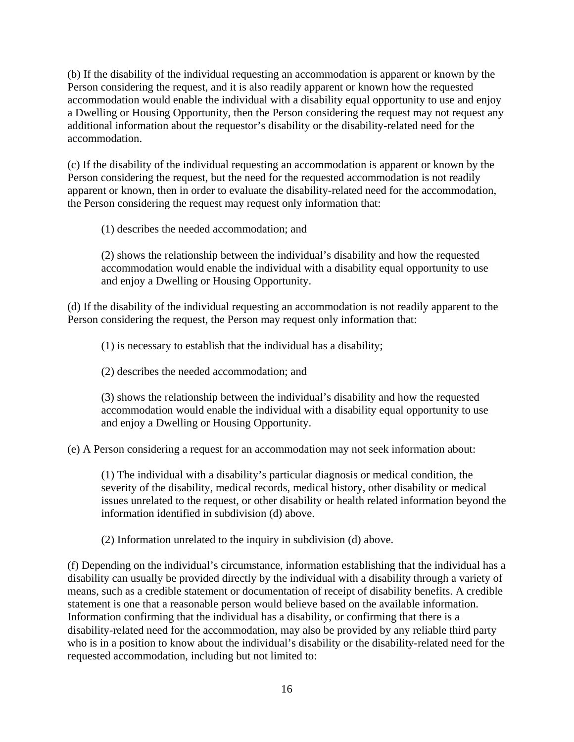(b) If the disability of the individual requesting an accommodation is apparent or known by the Person considering the request, and it is also readily apparent or known how the requested accommodation would enable the individual with a disability equal opportunity to use and enjoy a Dwelling or Housing Opportunity, then the Person considering the request may not request any additional information about the requestor's disability or the disability-related need for the accommodation.

(c) If the disability of the individual requesting an accommodation is apparent or known by the Person considering the request, but the need for the requested accommodation is not readily apparent or known, then in order to evaluate the disability-related need for the accommodation, the Person considering the request may request only information that:

(1) describes the needed accommodation; and

(2) shows the relationship between the individual's disability and how the requested accommodation would enable the individual with a disability equal opportunity to use and enjoy a Dwelling or Housing Opportunity.

(d) If the disability of the individual requesting an accommodation is not readily apparent to the Person considering the request, the Person may request only information that:

(1) is necessary to establish that the individual has a disability;

(2) describes the needed accommodation; and

(3) shows the relationship between the individual's disability and how the requested accommodation would enable the individual with a disability equal opportunity to use and enjoy a Dwelling or Housing Opportunity.

(e) A Person considering a request for an accommodation may not seek information about:

(1) The individual with a disability's particular diagnosis or medical condition, the severity of the disability, medical records, medical history, other disability or medical issues unrelated to the request, or other disability or health related information beyond the information identified in subdivision (d) above.

(2) Information unrelated to the inquiry in subdivision (d) above.

(f) Depending on the individual's circumstance, information establishing that the individual has a disability can usually be provided directly by the individual with a disability through a variety of means, such as a credible statement or documentation of receipt of disability benefits. A credible statement is one that a reasonable person would believe based on the available information. Information confirming that the individual has a disability, or confirming that there is a disability-related need for the accommodation, may also be provided by any reliable third party who is in a position to know about the individual's disability or the disability-related need for the requested accommodation, including but not limited to: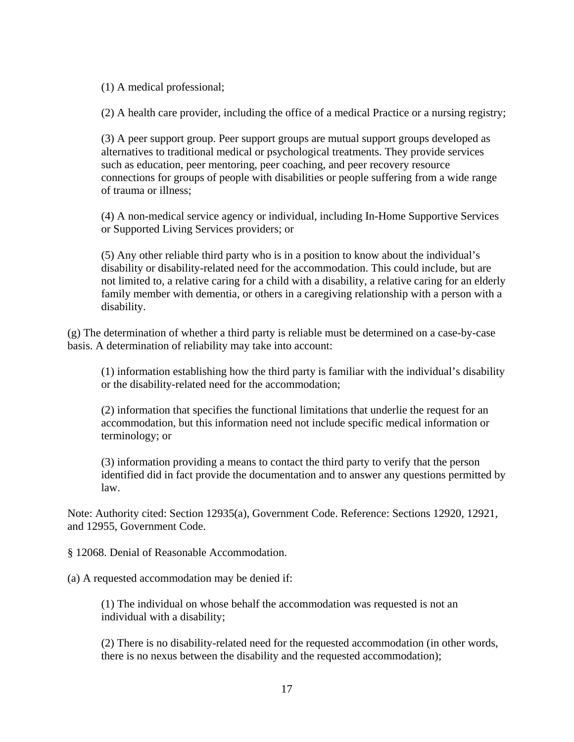(1) A medical professional;

(2) A health care provider, including the office of a medical Practice or a nursing registry;

(3) A peer support group. Peer support groups are mutual support groups developed as alternatives to traditional medical or psychological treatments. They provide services such as education, peer mentoring, peer coaching, and peer recovery resource connections for groups of people with disabilities or people suffering from a wide range of trauma or illness;

(4) A non-medical service agency or individual, including In-Home Supportive Services or Supported Living Services providers; or

(5) Any other reliable third party who is in a position to know about the individual's disability or disability-related need for the accommodation. This could include, but are not limited to, a relative caring for a child with a disability, a relative caring for an elderly family member with dementia, or others in a caregiving relationship with a person with a disability.

(g) The determination of whether a third party is reliable must be determined on a case-by-case basis. A determination of reliability may take into account:

(1) information establishing how the third party is familiar with the individual's disability or the disability-related need for the accommodation;

(2) information that specifies the functional limitations that underlie the request for an accommodation, but this information need not include specific medical information or terminology; or

(3) information providing a means to contact the third party to verify that the person identified did in fact provide the documentation and to answer any questions permitted by law.

Note: Authority cited: Section 12935(a), Government Code. Reference: Sections 12920, 12921, and 12955, Government Code.

§ 12068. Denial of Reasonable Accommodation.

(a) A requested accommodation may be denied if:

(1) The individual on whose behalf the accommodation was requested is not an individual with a disability;

(2) There is no disability-related need for the requested accommodation (in other words, there is no nexus between the disability and the requested accommodation);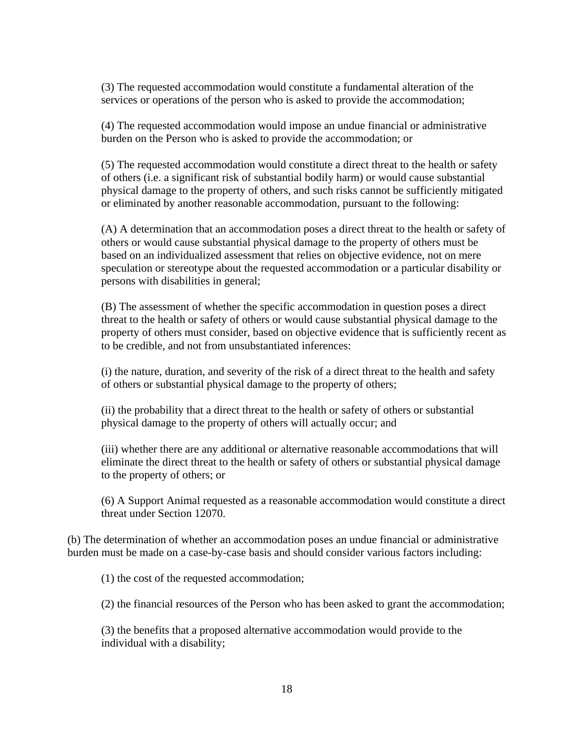(3) The requested accommodation would constitute a fundamental alteration of the services or operations of the person who is asked to provide the accommodation;

(4) The requested accommodation would impose an undue financial or administrative burden on the Person who is asked to provide the accommodation; or

(5) The requested accommodation would constitute a direct threat to the health or safety of others (i.e. a significant risk of substantial bodily harm) or would cause substantial physical damage to the property of others, and such risks cannot be sufficiently mitigated or eliminated by another reasonable accommodation, pursuant to the following:

(A) A determination that an accommodation poses a direct threat to the health or safety of others or would cause substantial physical damage to the property of others must be based on an individualized assessment that relies on objective evidence, not on mere speculation or stereotype about the requested accommodation or a particular disability or persons with disabilities in general;

(B) The assessment of whether the specific accommodation in question poses a direct threat to the health or safety of others or would cause substantial physical damage to the property of others must consider, based on objective evidence that is sufficiently recent as to be credible, and not from unsubstantiated inferences:

(i) the nature, duration, and severity of the risk of a direct threat to the health and safety of others or substantial physical damage to the property of others;

(ii) the probability that a direct threat to the health or safety of others or substantial physical damage to the property of others will actually occur; and

(iii) whether there are any additional or alternative reasonable accommodations that will eliminate the direct threat to the health or safety of others or substantial physical damage to the property of others; or

(6) A Support Animal requested as a reasonable accommodation would constitute a direct threat under Section 12070.

(b) The determination of whether an accommodation poses an undue financial or administrative burden must be made on a case-by-case basis and should consider various factors including:

(1) the cost of the requested accommodation;

(2) the financial resources of the Person who has been asked to grant the accommodation;

(3) the benefits that a proposed alternative accommodation would provide to the individual with a disability;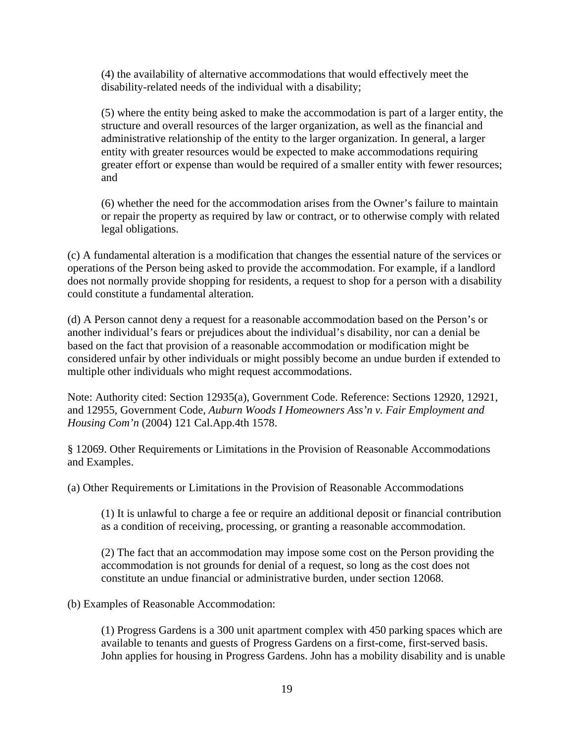(4) the availability of alternative accommodations that would effectively meet the disability-related needs of the individual with a disability;

(5) where the entity being asked to make the accommodation is part of a larger entity, the structure and overall resources of the larger organization, as well as the financial and administrative relationship of the entity to the larger organization. In general, a larger entity with greater resources would be expected to make accommodations requiring greater effort or expense than would be required of a smaller entity with fewer resources; and

(6) whether the need for the accommodation arises from the Owner's failure to maintain or repair the property as required by law or contract, or to otherwise comply with related legal obligations.

(c) A fundamental alteration is a modification that changes the essential nature of the services or operations of the Person being asked to provide the accommodation. For example, if a landlord does not normally provide shopping for residents, a request to shop for a person with a disability could constitute a fundamental alteration.

(d) A Person cannot deny a request for a reasonable accommodation based on the Person's or another individual's fears or prejudices about the individual's disability, nor can a denial be based on the fact that provision of a reasonable accommodation or modification might be considered unfair by other individuals or might possibly become an undue burden if extended to multiple other individuals who might request accommodations.

Note: Authority cited: Section 12935(a), Government Code. Reference: Sections 12920, 12921, and 12955, Government Code, *Auburn Woods I Homeowners Ass'n v. Fair Employment and Housing Com'n* (2004) 121 Cal.App.4th 1578.

§ 12069. Other Requirements or Limitations in the Provision of Reasonable Accommodations and Examples.

(a) Other Requirements or Limitations in the Provision of Reasonable Accommodations

(1) It is unlawful to charge a fee or require an additional deposit or financial contribution as a condition of receiving, processing, or granting a reasonable accommodation.

(2) The fact that an accommodation may impose some cost on the Person providing the accommodation is not grounds for denial of a request, so long as the cost does not constitute an undue financial or administrative burden, under section 12068.

(b) Examples of Reasonable Accommodation:

(1) Progress Gardens is a 300 unit apartment complex with 450 parking spaces which are available to tenants and guests of Progress Gardens on a first-come, first-served basis. John applies for housing in Progress Gardens. John has a mobility disability and is unable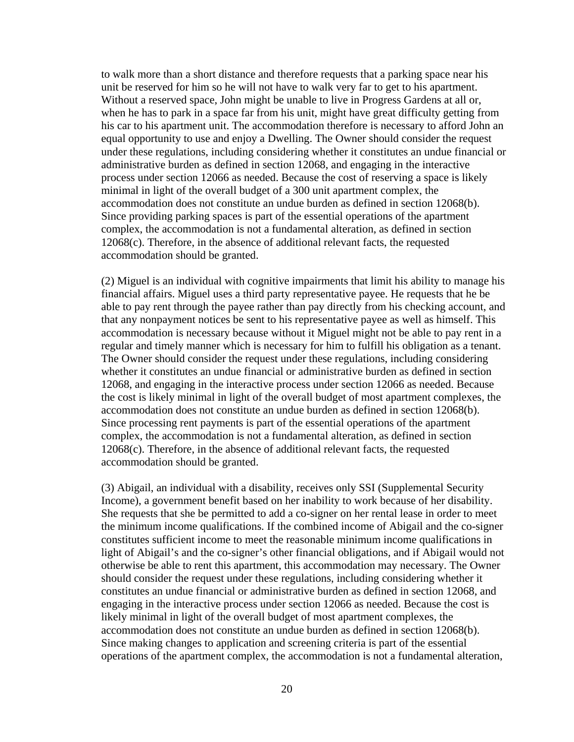to walk more than a short distance and therefore requests that a parking space near his unit be reserved for him so he will not have to walk very far to get to his apartment. Without a reserved space, John might be unable to live in Progress Gardens at all or, when he has to park in a space far from his unit, might have great difficulty getting from his car to his apartment unit. The accommodation therefore is necessary to afford John an equal opportunity to use and enjoy a Dwelling. The Owner should consider the request under these regulations, including considering whether it constitutes an undue financial or administrative burden as defined in section 12068, and engaging in the interactive process under section 12066 as needed. Because the cost of reserving a space is likely minimal in light of the overall budget of a 300 unit apartment complex, the accommodation does not constitute an undue burden as defined in section 12068(b). Since providing parking spaces is part of the essential operations of the apartment complex, the accommodation is not a fundamental alteration, as defined in section 12068(c). Therefore, in the absence of additional relevant facts, the requested accommodation should be granted.

(2) Miguel is an individual with cognitive impairments that limit his ability to manage his financial affairs. Miguel uses a third party representative payee. He requests that he be able to pay rent through the payee rather than pay directly from his checking account, and that any nonpayment notices be sent to his representative payee as well as himself. This accommodation is necessary because without it Miguel might not be able to pay rent in a regular and timely manner which is necessary for him to fulfill his obligation as a tenant. The Owner should consider the request under these regulations, including considering whether it constitutes an undue financial or administrative burden as defined in section 12068, and engaging in the interactive process under section 12066 as needed. Because the cost is likely minimal in light of the overall budget of most apartment complexes, the accommodation does not constitute an undue burden as defined in section 12068(b). Since processing rent payments is part of the essential operations of the apartment complex, the accommodation is not a fundamental alteration, as defined in section 12068(c). Therefore, in the absence of additional relevant facts, the requested accommodation should be granted.

(3) Abigail, an individual with a disability, receives only SSI (Supplemental Security Income), a government benefit based on her inability to work because of her disability. She requests that she be permitted to add a co-signer on her rental lease in order to meet the minimum income qualifications. If the combined income of Abigail and the co-signer constitutes sufficient income to meet the reasonable minimum income qualifications in light of Abigail's and the co-signer's other financial obligations, and if Abigail would not otherwise be able to rent this apartment, this accommodation may necessary. The Owner should consider the request under these regulations, including considering whether it constitutes an undue financial or administrative burden as defined in section 12068, and engaging in the interactive process under section 12066 as needed. Because the cost is likely minimal in light of the overall budget of most apartment complexes, the accommodation does not constitute an undue burden as defined in section 12068(b). Since making changes to application and screening criteria is part of the essential operations of the apartment complex, the accommodation is not a fundamental alteration,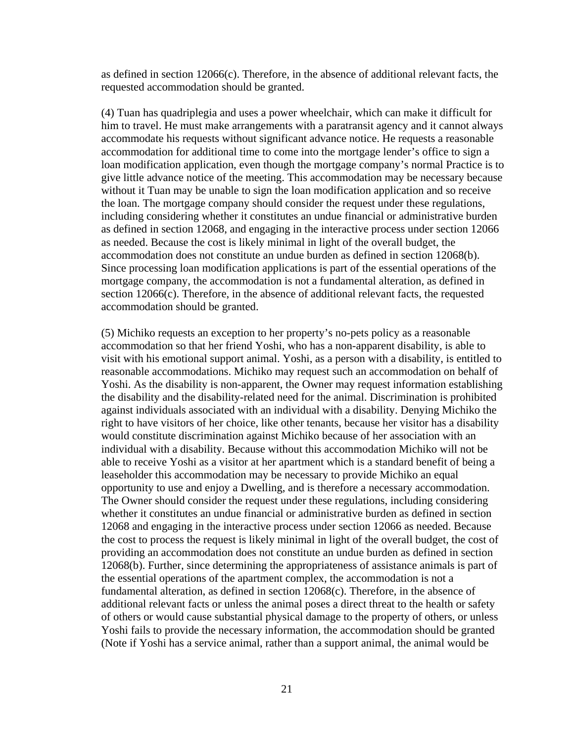as defined in section 12066(c). Therefore, in the absence of additional relevant facts, the requested accommodation should be granted.

(4) Tuan has quadriplegia and uses a power wheelchair, which can make it difficult for him to travel. He must make arrangements with a paratransit agency and it cannot always accommodate his requests without significant advance notice. He requests a reasonable accommodation for additional time to come into the mortgage lender's office to sign a loan modification application, even though the mortgage company's normal Practice is to give little advance notice of the meeting. This accommodation may be necessary because without it Tuan may be unable to sign the loan modification application and so receive the loan. The mortgage company should consider the request under these regulations, including considering whether it constitutes an undue financial or administrative burden as defined in section 12068, and engaging in the interactive process under section 12066 as needed. Because the cost is likely minimal in light of the overall budget, the accommodation does not constitute an undue burden as defined in section 12068(b). Since processing loan modification applications is part of the essential operations of the mortgage company, the accommodation is not a fundamental alteration, as defined in section 12066(c). Therefore, in the absence of additional relevant facts, the requested accommodation should be granted.

(5) Michiko requests an exception to her property's no-pets policy as a reasonable accommodation so that her friend Yoshi, who has a non-apparent disability, is able to visit with his emotional support animal. Yoshi, as a person with a disability, is entitled to reasonable accommodations. Michiko may request such an accommodation on behalf of Yoshi. As the disability is non-apparent, the Owner may request information establishing the disability and the disability-related need for the animal. Discrimination is prohibited against individuals associated with an individual with a disability. Denying Michiko the right to have visitors of her choice, like other tenants, because her visitor has a disability would constitute discrimination against Michiko because of her association with an individual with a disability. Because without this accommodation Michiko will not be able to receive Yoshi as a visitor at her apartment which is a standard benefit of being a leaseholder this accommodation may be necessary to provide Michiko an equal opportunity to use and enjoy a Dwelling, and is therefore a necessary accommodation. The Owner should consider the request under these regulations, including considering whether it constitutes an undue financial or administrative burden as defined in section 12068 and engaging in the interactive process under section 12066 as needed. Because the cost to process the request is likely minimal in light of the overall budget, the cost of providing an accommodation does not constitute an undue burden as defined in section 12068(b). Further, since determining the appropriateness of assistance animals is part of the essential operations of the apartment complex, the accommodation is not a fundamental alteration, as defined in section 12068(c). Therefore, in the absence of additional relevant facts or unless the animal poses a direct threat to the health or safety of others or would cause substantial physical damage to the property of others, or unless Yoshi fails to provide the necessary information, the accommodation should be granted (Note if Yoshi has a service animal, rather than a support animal, the animal would be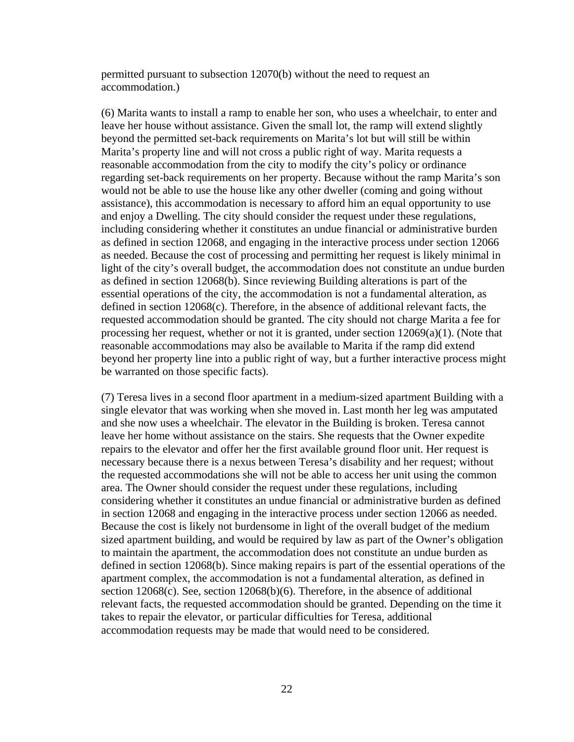permitted pursuant to subsection 12070(b) without the need to request an accommodation.)

(6) Marita wants to install a ramp to enable her son, who uses a wheelchair, to enter and leave her house without assistance. Given the small lot, the ramp will extend slightly beyond the permitted set-back requirements on Marita's lot but will still be within Marita's property line and will not cross a public right of way. Marita requests a reasonable accommodation from the city to modify the city's policy or ordinance regarding set-back requirements on her property. Because without the ramp Marita's son would not be able to use the house like any other dweller (coming and going without assistance), this accommodation is necessary to afford him an equal opportunity to use and enjoy a Dwelling. The city should consider the request under these regulations, including considering whether it constitutes an undue financial or administrative burden as defined in section 12068, and engaging in the interactive process under section 12066 as needed. Because the cost of processing and permitting her request is likely minimal in light of the city's overall budget, the accommodation does not constitute an undue burden as defined in section 12068(b). Since reviewing Building alterations is part of the essential operations of the city, the accommodation is not a fundamental alteration, as defined in section 12068(c). Therefore, in the absence of additional relevant facts, the requested accommodation should be granted. The city should not charge Marita a fee for processing her request, whether or not it is granted, under section  $12069(a)(1)$ . (Note that reasonable accommodations may also be available to Marita if the ramp did extend beyond her property line into a public right of way, but a further interactive process might be warranted on those specific facts).

(7) Teresa lives in a second floor apartment in a medium-sized apartment Building with a single elevator that was working when she moved in. Last month her leg was amputated and she now uses a wheelchair. The elevator in the Building is broken. Teresa cannot leave her home without assistance on the stairs. She requests that the Owner expedite repairs to the elevator and offer her the first available ground floor unit. Her request is necessary because there is a nexus between Teresa's disability and her request; without the requested accommodations she will not be able to access her unit using the common area. The Owner should consider the request under these regulations, including considering whether it constitutes an undue financial or administrative burden as defined in section 12068 and engaging in the interactive process under section 12066 as needed. Because the cost is likely not burdensome in light of the overall budget of the medium sized apartment building, and would be required by law as part of the Owner's obligation to maintain the apartment, the accommodation does not constitute an undue burden as defined in section 12068(b). Since making repairs is part of the essential operations of the apartment complex, the accommodation is not a fundamental alteration, as defined in section 12068(c). See, section 12068(b)(6). Therefore, in the absence of additional relevant facts, the requested accommodation should be granted. Depending on the time it takes to repair the elevator, or particular difficulties for Teresa, additional accommodation requests may be made that would need to be considered.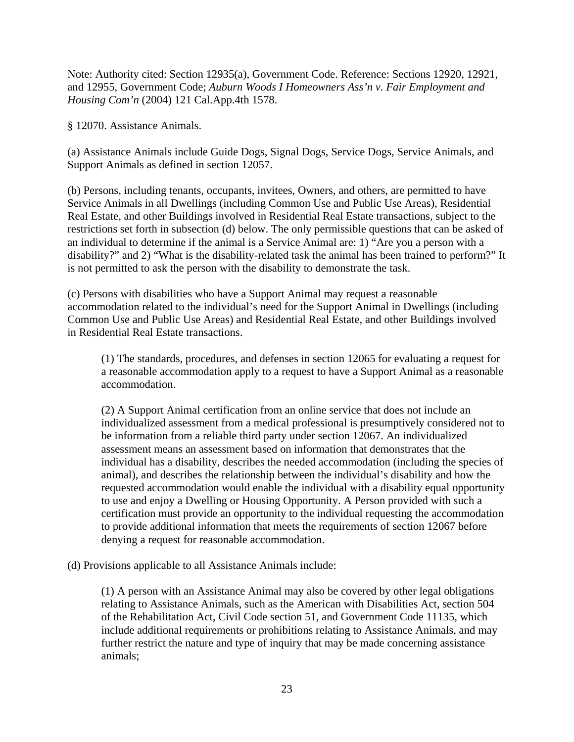Note: Authority cited: Section 12935(a), Government Code. Reference: Sections 12920, 12921, and 12955, Government Code; *Auburn Woods I Homeowners Ass'n v. Fair Employment and Housing Com'n* (2004) 121 Cal.App.4th 1578.

§ 12070. Assistance Animals.

(a) Assistance Animals include Guide Dogs, Signal Dogs, Service Dogs, Service Animals, and Support Animals as defined in section 12057.

(b) Persons, including tenants, occupants, invitees, Owners, and others, are permitted to have Service Animals in all Dwellings (including Common Use and Public Use Areas), Residential Real Estate, and other Buildings involved in Residential Real Estate transactions, subject to the restrictions set forth in subsection (d) below. The only permissible questions that can be asked of an individual to determine if the animal is a Service Animal are: 1) "Are you a person with a disability?" and 2) "What is the disability-related task the animal has been trained to perform?" It is not permitted to ask the person with the disability to demonstrate the task.

(c) Persons with disabilities who have a Support Animal may request a reasonable accommodation related to the individual's need for the Support Animal in Dwellings (including Common Use and Public Use Areas) and Residential Real Estate, and other Buildings involved in Residential Real Estate transactions.

(1) The standards, procedures, and defenses in section 12065 for evaluating a request for a reasonable accommodation apply to a request to have a Support Animal as a reasonable accommodation.

(2) A Support Animal certification from an online service that does not include an individualized assessment from a medical professional is presumptively considered not to be information from a reliable third party under section 12067. An individualized assessment means an assessment based on information that demonstrates that the individual has a disability, describes the needed accommodation (including the species of animal), and describes the relationship between the individual's disability and how the requested accommodation would enable the individual with a disability equal opportunity to use and enjoy a Dwelling or Housing Opportunity. A Person provided with such a certification must provide an opportunity to the individual requesting the accommodation to provide additional information that meets the requirements of section 12067 before denying a request for reasonable accommodation.

(d) Provisions applicable to all Assistance Animals include:

(1) A person with an Assistance Animal may also be covered by other legal obligations relating to Assistance Animals, such as the American with Disabilities Act, section 504 of the Rehabilitation Act, Civil Code section 51, and Government Code 11135, which include additional requirements or prohibitions relating to Assistance Animals, and may further restrict the nature and type of inquiry that may be made concerning assistance animals;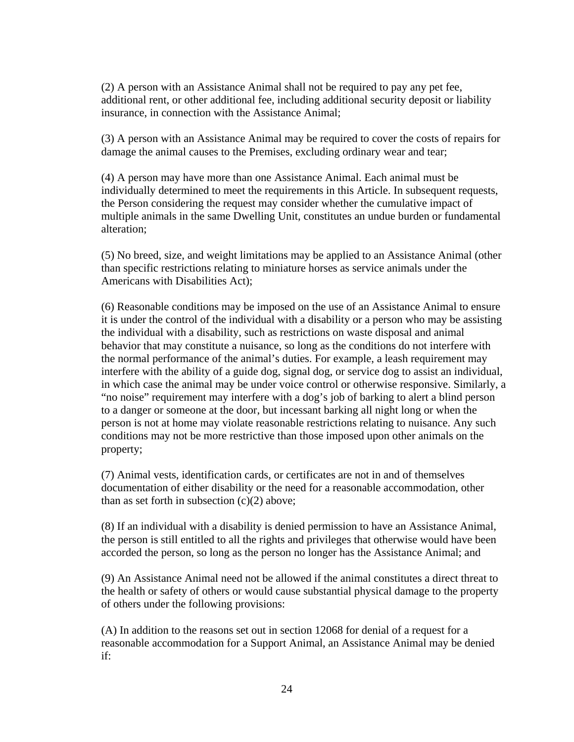(2) A person with an Assistance Animal shall not be required to pay any pet fee, additional rent, or other additional fee, including additional security deposit or liability insurance, in connection with the Assistance Animal;

(3) A person with an Assistance Animal may be required to cover the costs of repairs for damage the animal causes to the Premises, excluding ordinary wear and tear;

(4) A person may have more than one Assistance Animal. Each animal must be individually determined to meet the requirements in this Article. In subsequent requests, the Person considering the request may consider whether the cumulative impact of multiple animals in the same Dwelling Unit, constitutes an undue burden or fundamental alteration;

(5) No breed, size, and weight limitations may be applied to an Assistance Animal (other than specific restrictions relating to miniature horses as service animals under the Americans with Disabilities Act);

(6) Reasonable conditions may be imposed on the use of an Assistance Animal to ensure it is under the control of the individual with a disability or a person who may be assisting the individual with a disability, such as restrictions on waste disposal and animal behavior that may constitute a nuisance, so long as the conditions do not interfere with the normal performance of the animal's duties. For example, a leash requirement may interfere with the ability of a guide dog, signal dog, or service dog to assist an individual, in which case the animal may be under voice control or otherwise responsive. Similarly, a "no noise" requirement may interfere with a dog's job of barking to alert a blind person to a danger or someone at the door, but incessant barking all night long or when the person is not at home may violate reasonable restrictions relating to nuisance. Any such conditions may not be more restrictive than those imposed upon other animals on the property;

(7) Animal vests, identification cards, or certificates are not in and of themselves documentation of either disability or the need for a reasonable accommodation, other than as set forth in subsection  $(c)(2)$  above:

(8) If an individual with a disability is denied permission to have an Assistance Animal, the person is still entitled to all the rights and privileges that otherwise would have been accorded the person, so long as the person no longer has the Assistance Animal; and

(9) An Assistance Animal need not be allowed if the animal constitutes a direct threat to the health or safety of others or would cause substantial physical damage to the property of others under the following provisions:

(A) In addition to the reasons set out in section 12068 for denial of a request for a reasonable accommodation for a Support Animal, an Assistance Animal may be denied if: